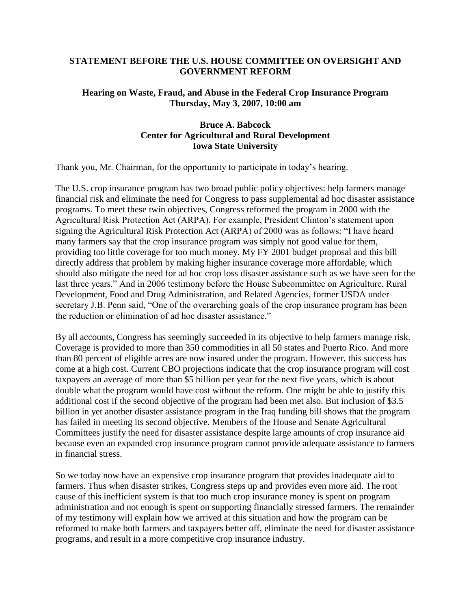# **STATEMENT BEFORE THE U.S. HOUSE COMMITTEE ON OVERSIGHT AND GOVERNMENT REFORM**

# **Hearing on Waste, Fraud, and Abuse in the Federal Crop Insurance Program Thursday, May 3, 2007, 10:00 am**

# **Bruce A. Babcock Center for Agricultural and Rural Development Iowa State University**

Thank you, Mr. Chairman, for the opportunity to participate in today's hearing.

The U.S. crop insurance program has two broad public policy objectives: help farmers manage financial risk and eliminate the need for Congress to pass supplemental ad hoc disaster assistance programs. To meet these twin objectives, Congress reformed the program in 2000 with the Agricultural Risk Protection Act (ARPA). For example, President Clinton's statement upon signing the Agricultural Risk Protection Act (ARPA) of 2000 was as follows: "I have heard many farmers say that the crop insurance program was simply not good value for them, providing too little coverage for too much money. My FY 2001 budget proposal and this bill directly address that problem by making higher insurance coverage more affordable, which should also mitigate the need for ad hoc crop loss disaster assistance such as we have seen for the last three years." And in 2006 testimony before the House Subcommittee on Agriculture, Rural Development, Food and Drug Administration, and Related Agencies, former USDA under secretary J.B. Penn said, "One of the overarching goals of the crop insurance program has been the reduction or elimination of ad hoc disaster assistance."

By all accounts, Congress has seemingly succeeded in its objective to help farmers manage risk. Coverage is provided to more than 350 commodities in all 50 states and Puerto Rico. And more than 80 percent of eligible acres are now insured under the program. However, this success has come at a high cost. Current CBO projections indicate that the crop insurance program will cost taxpayers an average of more than \$5 billion per year for the next five years, which is about double what the program would have cost without the reform. One might be able to justify this additional cost if the second objective of the program had been met also. But inclusion of \$3.5 billion in yet another disaster assistance program in the Iraq funding bill shows that the program has failed in meeting its second objective. Members of the House and Senate Agricultural Committees justify the need for disaster assistance despite large amounts of crop insurance aid because even an expanded crop insurance program cannot provide adequate assistance to farmers in financial stress.

So we today now have an expensive crop insurance program that provides inadequate aid to farmers. Thus when disaster strikes, Congress steps up and provides even more aid. The root cause of this inefficient system is that too much crop insurance money is spent on program administration and not enough is spent on supporting financially stressed farmers. The remainder of my testimony will explain how we arrived at this situation and how the program can be reformed to make both farmers and taxpayers better off, eliminate the need for disaster assistance programs, and result in a more competitive crop insurance industry.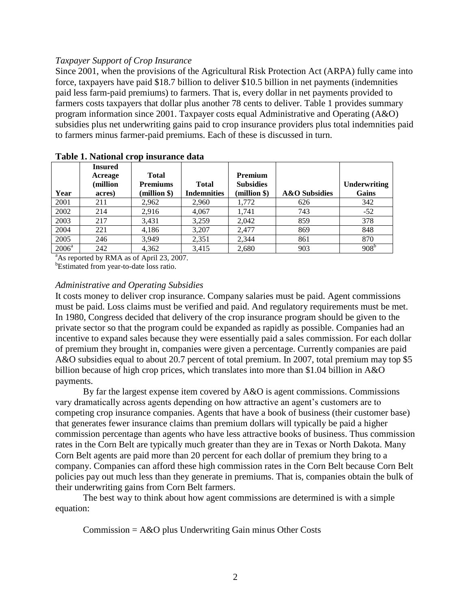### *Taxpayer Support of Crop Insurance*

Since 2001, when the provisions of the Agricultural Risk Protection Act (ARPA) fully came into force, taxpayers have paid \$18.7 billion to deliver \$10.5 billion in net payments (indemnities paid less farm-paid premiums) to farmers. That is, every dollar in net payments provided to farmers costs taxpayers that dollar plus another 78 cents to deliver. Table 1 provides summary program information since 2001. Taxpayer costs equal Administrative and Operating (A&O) subsidies plus net underwriting gains paid to crop insurance providers plus total indemnities paid to farmers minus farmer-paid premiums. Each of these is discussed in turn.

| Year     | <b>Insured</b><br>Acreage<br>(million<br>acres) | <b>Total</b><br><b>Premiums</b><br>(million \$) | <b>Total</b><br><b>Indemnities</b> | <b>Premium</b><br><b>Subsidies</b><br>(million \$) | <b>A&amp;O</b> Subsidies | Underwriting<br>Gains |
|----------|-------------------------------------------------|-------------------------------------------------|------------------------------------|----------------------------------------------------|--------------------------|-----------------------|
| 2001     | 211                                             | 2,962                                           | 2.960                              | 1.772                                              | 626                      | 342                   |
| 2002     | 214                                             | 2,916                                           | 4,067                              | 1.741                                              | 743                      | $-52$                 |
| 2003     | 217                                             | 3.431                                           | 3,259                              | 2,042                                              | 859                      | 378                   |
| 2004     | 221                                             | 4,186                                           | 3,207                              | 2.477                                              | 869                      | 848                   |
| 2005     | 246                                             | 3.949                                           | 2,351                              | 2.344                                              | 861                      | 870                   |
| $2006^a$ | 242                                             | 4,362                                           | 3,415                              | 2,680                                              | 903                      | 908 <sup>b</sup>      |

**Table 1. National crop insurance data**

<sup>a</sup>As reported by RMA as of April 23, 2007.

<sup>b</sup>Estimated from year-to-date loss ratio.

### *Administrative and Operating Subsidies*

It costs money to deliver crop insurance. Company salaries must be paid. Agent commissions must be paid. Loss claims must be verified and paid. And regulatory requirements must be met. In 1980, Congress decided that delivery of the crop insurance program should be given to the private sector so that the program could be expanded as rapidly as possible. Companies had an incentive to expand sales because they were essentially paid a sales commission. For each dollar of premium they brought in, companies were given a percentage. Currently companies are paid A&O subsidies equal to about 20.7 percent of total premium. In 2007, total premium may top \$5 billion because of high crop prices, which translates into more than \$1.04 billion in A&O payments.

By far the largest expense item covered by A&O is agent commissions. Commissions vary dramatically across agents depending on how attractive an agent's customers are to competing crop insurance companies. Agents that have a book of business (their customer base) that generates fewer insurance claims than premium dollars will typically be paid a higher commission percentage than agents who have less attractive books of business. Thus commission rates in the Corn Belt are typically much greater than they are in Texas or North Dakota. Many Corn Belt agents are paid more than 20 percent for each dollar of premium they bring to a company. Companies can afford these high commission rates in the Corn Belt because Corn Belt policies pay out much less than they generate in premiums. That is, companies obtain the bulk of their underwriting gains from Corn Belt farmers.

The best way to think about how agent commissions are determined is with a simple equation:

Commission = A&O plus Underwriting Gain minus Other Costs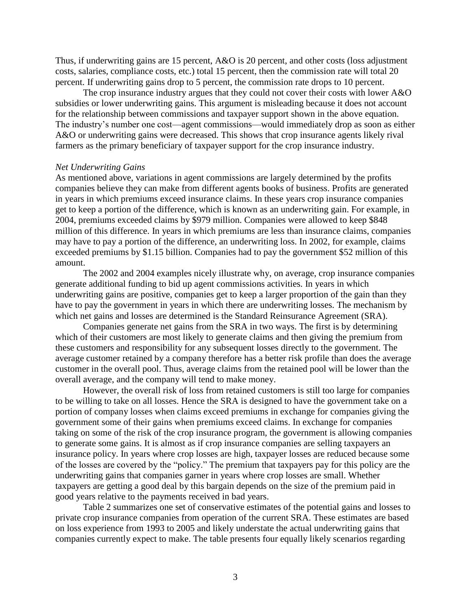Thus, if underwriting gains are 15 percent, A&O is 20 percent, and other costs (loss adjustment costs, salaries, compliance costs, etc.) total 15 percent, then the commission rate will total 20 percent. If underwriting gains drop to 5 percent, the commission rate drops to 10 percent.

The crop insurance industry argues that they could not cover their costs with lower A&O subsidies or lower underwriting gains. This argument is misleading because it does not account for the relationship between commissions and taxpayer support shown in the above equation. The industry's number one cost—agent commissions—would immediately drop as soon as either A&O or underwriting gains were decreased. This shows that crop insurance agents likely rival farmers as the primary beneficiary of taxpayer support for the crop insurance industry.

#### *Net Underwriting Gains*

As mentioned above, variations in agent commissions are largely determined by the profits companies believe they can make from different agents books of business. Profits are generated in years in which premiums exceed insurance claims. In these years crop insurance companies get to keep a portion of the difference, which is known as an underwriting gain. For example, in 2004, premiums exceeded claims by \$979 million. Companies were allowed to keep \$848 million of this difference. In years in which premiums are less than insurance claims, companies may have to pay a portion of the difference, an underwriting loss. In 2002, for example, claims exceeded premiums by \$1.15 billion. Companies had to pay the government \$52 million of this amount.

The 2002 and 2004 examples nicely illustrate why, on average, crop insurance companies generate additional funding to bid up agent commissions activities. In years in which underwriting gains are positive, companies get to keep a larger proportion of the gain than they have to pay the government in years in which there are underwriting losses. The mechanism by which net gains and losses are determined is the Standard Reinsurance Agreement (SRA).

Companies generate net gains from the SRA in two ways. The first is by determining which of their customers are most likely to generate claims and then giving the premium from these customers and responsibility for any subsequent losses directly to the government. The average customer retained by a company therefore has a better risk profile than does the average customer in the overall pool. Thus, average claims from the retained pool will be lower than the overall average, and the company will tend to make money.

However, the overall risk of loss from retained customers is still too large for companies to be willing to take on all losses. Hence the SRA is designed to have the government take on a portion of company losses when claims exceed premiums in exchange for companies giving the government some of their gains when premiums exceed claims. In exchange for companies taking on some of the risk of the crop insurance program, the government is allowing companies to generate some gains. It is almost as if crop insurance companies are selling taxpayers an insurance policy. In years where crop losses are high, taxpayer losses are reduced because some of the losses are covered by the "policy." The premium that taxpayers pay for this policy are the underwriting gains that companies garner in years where crop losses are small. Whether taxpayers are getting a good deal by this bargain depends on the size of the premium paid in good years relative to the payments received in bad years.

Table 2 summarizes one set of conservative estimates of the potential gains and losses to private crop insurance companies from operation of the current SRA. These estimates are based on loss experience from 1993 to 2005 and likely understate the actual underwriting gains that companies currently expect to make. The table presents four equally likely scenarios regarding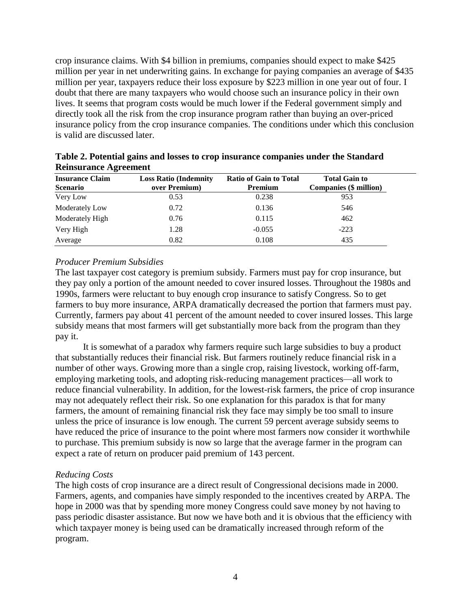crop insurance claims. With \$4 billion in premiums, companies should expect to make \$425 million per year in net underwriting gains. In exchange for paying companies an average of \$435 million per year, taxpayers reduce their loss exposure by \$223 million in one year out of four. I doubt that there are many taxpayers who would choose such an insurance policy in their own lives. It seems that program costs would be much lower if the Federal government simply and directly took all the risk from the crop insurance program rather than buying an over-priced insurance policy from the crop insurance companies. The conditions under which this conclusion is valid are discussed later.

| ີ<br><b>Insurance Claim</b> | <b>Loss Ratio (Indemnity</b> | <b>Ratio of Gain to Total</b> | <b>Total Gain to</b>          |
|-----------------------------|------------------------------|-------------------------------|-------------------------------|
| <b>Scenario</b>             | over Premium)                | <b>Premium</b>                | <b>Companies (\$ million)</b> |
| Very Low                    | 0.53                         | 0.238                         | 953                           |
| Moderately Low              | 0.72                         | 0.136                         | 546                           |
| Moderately High             | 0.76                         | 0.115                         | 462                           |
| Very High                   | 1.28                         | $-0.055$                      | $-223$                        |
| Average                     | 0.82                         | 0.108                         | 435                           |

**Table 2. Potential gains and losses to crop insurance companies under the Standard Reinsurance Agreement**

# *Producer Premium Subsidies*

The last taxpayer cost category is premium subsidy. Farmers must pay for crop insurance, but they pay only a portion of the amount needed to cover insured losses. Throughout the 1980s and 1990s, farmers were reluctant to buy enough crop insurance to satisfy Congress. So to get farmers to buy more insurance, ARPA dramatically decreased the portion that farmers must pay. Currently, farmers pay about 41 percent of the amount needed to cover insured losses. This large subsidy means that most farmers will get substantially more back from the program than they pay it.

It is somewhat of a paradox why farmers require such large subsidies to buy a product that substantially reduces their financial risk. But farmers routinely reduce financial risk in a number of other ways. Growing more than a single crop, raising livestock, working off-farm, employing marketing tools, and adopting risk-reducing management practices—all work to reduce financial vulnerability. In addition, for the lowest-risk farmers, the price of crop insurance may not adequately reflect their risk. So one explanation for this paradox is that for many farmers, the amount of remaining financial risk they face may simply be too small to insure unless the price of insurance is low enough. The current 59 percent average subsidy seems to have reduced the price of insurance to the point where most farmers now consider it worthwhile to purchase. This premium subsidy is now so large that the average farmer in the program can expect a rate of return on producer paid premium of 143 percent.

## *Reducing Costs*

The high costs of crop insurance are a direct result of Congressional decisions made in 2000. Farmers, agents, and companies have simply responded to the incentives created by ARPA. The hope in 2000 was that by spending more money Congress could save money by not having to pass periodic disaster assistance. But now we have both and it is obvious that the efficiency with which taxpayer money is being used can be dramatically increased through reform of the program.